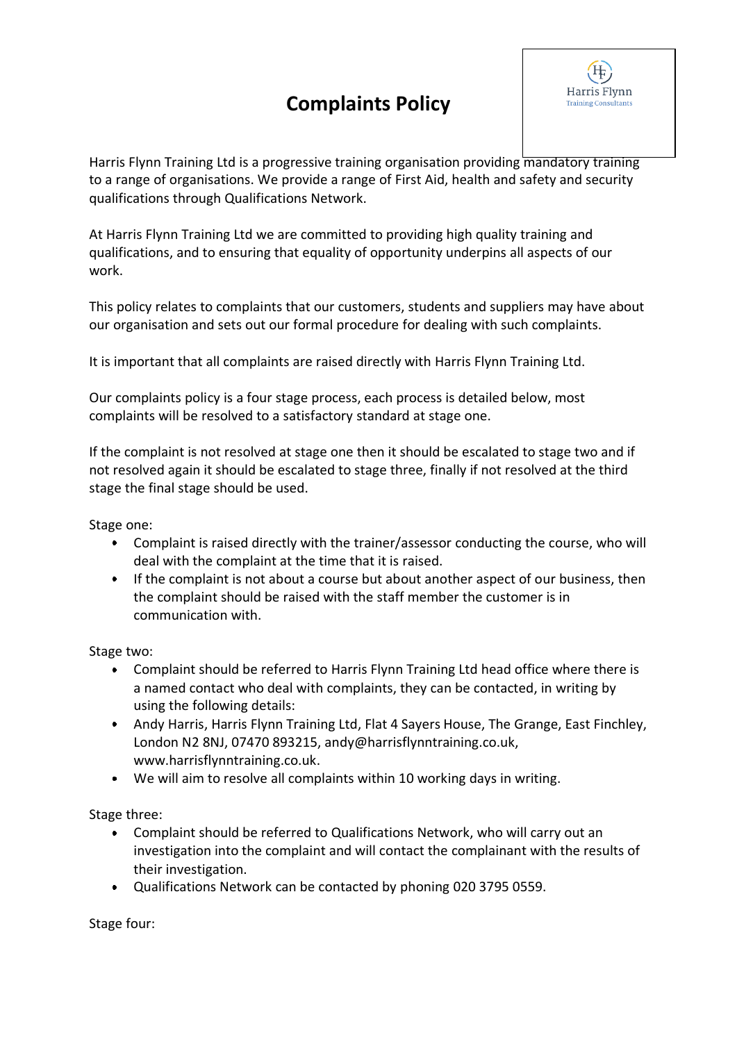## **Complaints Policy**



Harris Flynn Training Ltd is a progressive training organisation providing mandatory training to a range of organisations. We provide a range of First Aid, health and safety and security qualifications through Qualifications Network.

At Harris Flynn Training Ltd we are committed to providing high quality training and qualifications, and to ensuring that equality of opportunity underpins all aspects of our work.

This policy relates to complaints that our customers, students and suppliers may have about our organisation and sets out our formal procedure for dealing with such complaints.

It is important that all complaints are raised directly with Harris Flynn Training Ltd.

Our complaints policy is a four stage process, each process is detailed below, most complaints will be resolved to a satisfactory standard at stage one.

If the complaint is not resolved at stage one then it should be escalated to stage two and if not resolved again it should be escalated to stage three, finally if not resolved at the third stage the final stage should be used.

Stage one:

- Complaint is raised directly with the trainer/assessor conducting the course, who will deal with the complaint at the time that it is raised.
- If the complaint is not about a course but about another aspect of our business, then the complaint should be raised with the staff member the customer is in communication with.

Stage two:

- Complaint should be referred to Harris Flynn Training Ltd head office where there is a named contact who deal with complaints, they can be contacted, in writing by using the following details:
- Andy Harris, Harris Flynn Training Ltd, Flat 4 Sayers House, The Grange, East Finchley, London N2 8NJ, 07470 893215, andy@harrisflynntraining.co.uk, www.harrisflynntraining.co.uk.
- We will aim to resolve all complaints within 10 working days in writing.

Stage three:

- Complaint should be referred to Qualifications Network, who will carry out an investigation into the complaint and will contact the complainant with the results of their investigation.
- Qualifications Network can be contacted by phoning 020 3795 0559.

Stage four: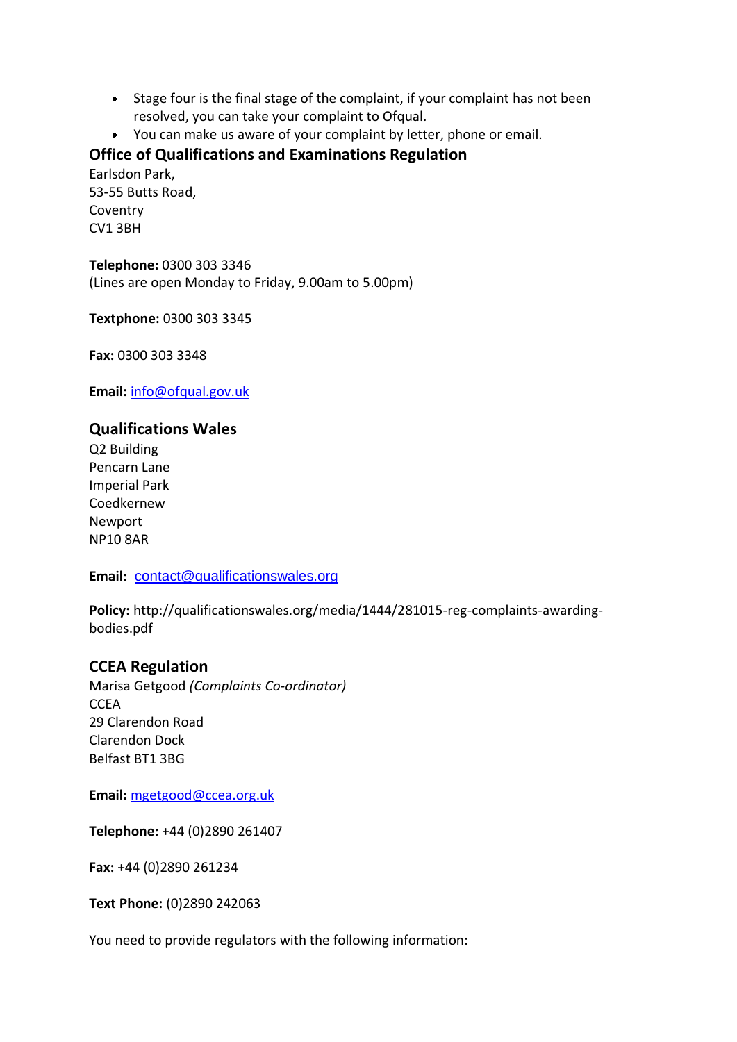- Stage four is the final stage of the complaint, if your complaint has not been resolved, you can take your complaint to Ofqual.
- You can make us aware of your complaint by letter, phone or email.

## **Office of Qualifications and Examinations Regulation**

Earlsdon Park, 53-55 Butts Road, Coventry CV1 3BH

**Telephone:** 0300 303 3346 (Lines are open Monday to Friday, 9.00am to 5.00pm)

**Textphone:** 0300 303 3345

**Fax:** 0300 303 3348

**Email:** [info@ofqual.gov.uk](mailto:info@ofqual.gov.uk)

## **Qualifications Wales**

Q2 Building Pencarn Lane Imperial Park Coedkernew Newport NP10 8AR

**Email:** [contact@qualificationswales.org](mailto:contact@qualificationswales.org)

**Policy:** http://qualificationswales.org/media/1444/281015-reg-complaints-awardingbodies.pdf

## **CCEA Regulation**

Marisa Getgood *(Complaints Co-ordinator)* **CCEA** 29 Clarendon Road Clarendon Dock Belfast BT1 3BG

**Email:** [mgetgood@ccea.org.uk](mailto:mgetgood@ccea.org.uk?subject=Complaint%20Notification)

**Telephone:** +44 (0)2890 261407

**Fax:** +44 (0)2890 261234

**Text Phone:** (0)2890 242063

You need to provide regulators with the following information: